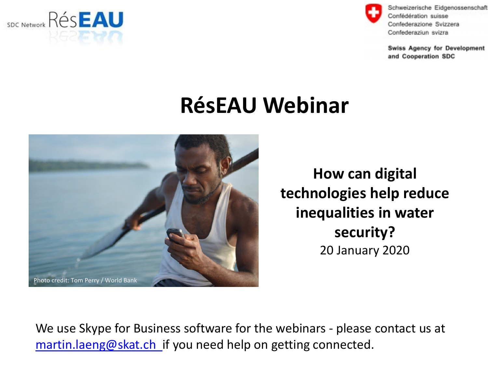



**Swiss Agency for Development** and Cooperation SDC

### **RésEAU Webinar**



**How can digital technologies help reduce inequalities in water security?** 20 January 2020

We use Skype for Business software for the webinars - please contact us at [martin.laeng@skat.ch](mailto:martin.laeng@skat.ch) if you need help on getting connected.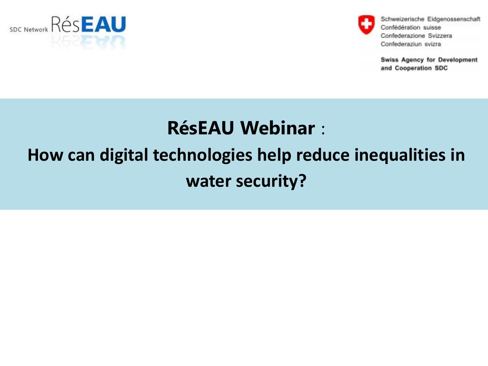



**Swiss Agency for Development** and Cooperation SDC

#### **RésEAU Webinar** :

# **How can digital technologies help reduce inequalities in water security?**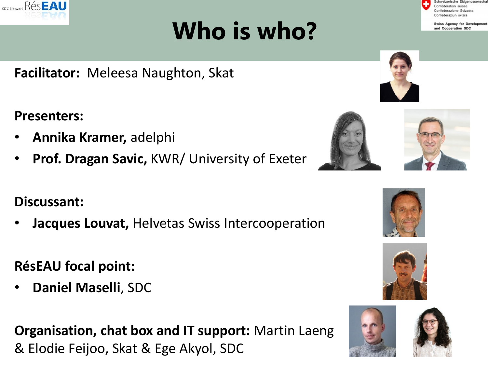# **Who is who?**

**Facilitator:** Meleesa Naughton, Skat

**Presenters:** 

**RésEAU** 

SDC Network

- **Annika Kramer,** adelphi
- **Prof. Dragan Savic,** KWR/ University of Exeter

#### **Discussant:**

• **Jacques Louvat,** Helvetas Swiss Intercooperation

#### **RésEAU focal point:**

• **Daniel Maselli**, SDC

**Organisation, chat box and IT support:** Martin Laeng & Elodie Feijoo, Skat & Ege Akyol, SDC

wiss Agency for Development and Cooperation SDC









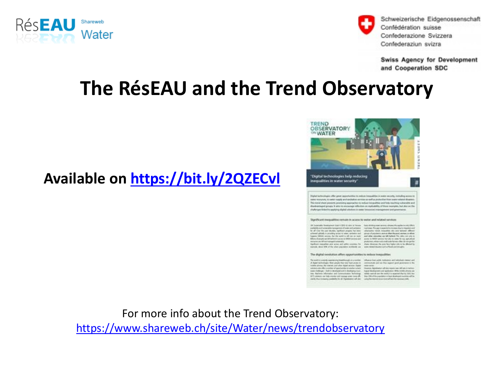



**Swiss Agency for Development** and Cooperation SDC

#### **The RésEAU and the Trend Observatory**

#### **Available on<https://bit.ly/2QZECvl>**



 $\begin{minipage}[t]{.5\textwidth} \begin{minipage}[t]{.5\textwidth} \begin{itemize} \color{blue}{\textbf{1}}\hspace*{1.5mm}\begin{itemize} \color{blue}{\textbf{1}}\hspace*{1.5mm}\begin{itemize} \color{blue}{\textbf{1}}\hspace*{1.5mm}\begin{itemize} \color{blue}{\textbf{1}}\hspace*{1.5mm}\begin{itemize} \color{blue}{\textbf{1}}\hspace*{1.5mm}\begin{itemize} \color{blue}{\textbf{1}}\hspace*{1.5mm}\begin{itemize} \color{blue}{\textbf{1}}\hspace*{1.5mm}\begin{itemize} \color$ 

For more info about the Trend Observatory:

<https://www.shareweb.ch/site/Water/news/trendobservatory>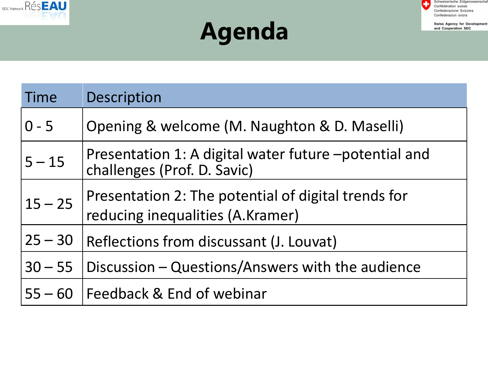



**Swiss Agency for Development** and Cooperation SDC

# **Agenda**

| Time      | Description                                                                             |
|-----------|-----------------------------------------------------------------------------------------|
| $0 - 5$   | Opening & welcome (M. Naughton & D. Maselli)                                            |
| $5 - 15$  | Presentation 1: A digital water future -potential and<br>challenges (Prof. D. Savic)    |
| $15 - 25$ | Presentation 2: The potential of digital trends for<br>reducing inequalities (A.Kramer) |
| $25 - 30$ | Reflections from discussant (J. Louvat)                                                 |
| $30 - 55$ | Discussion - Questions/Answers with the audience                                        |
| $55 - 60$ | Feedback & End of webinar                                                               |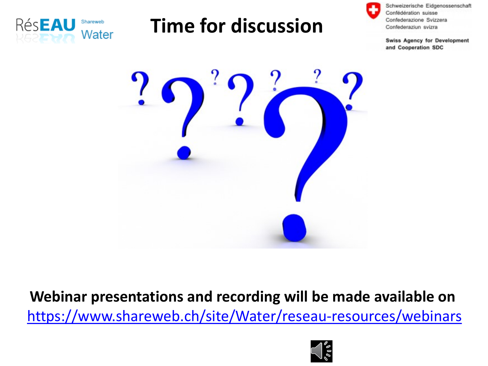

# **Time for discussion**



Schweizerische Eidgenossenschaft Confédération suisse Confederazione Svizzera Confederaziun svizra

**Swiss Agency for Development** and Cooperation SDC



**Webinar presentations and recording will be made available on** <https://www.shareweb.ch/site/Water/reseau-resources/webinars>

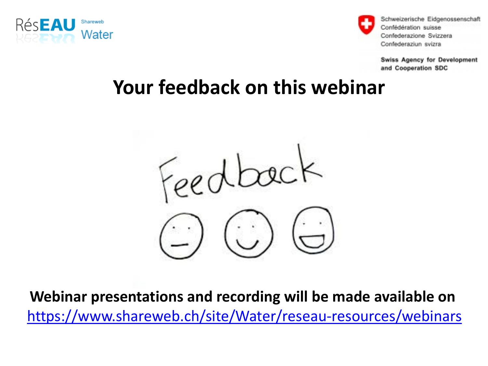



**Swiss Agency for Development** and Cooperation SDC

#### **Your feedback on this webinar**



**Webinar presentations and recording will be made available on** <https://www.shareweb.ch/site/Water/reseau-resources/webinars>